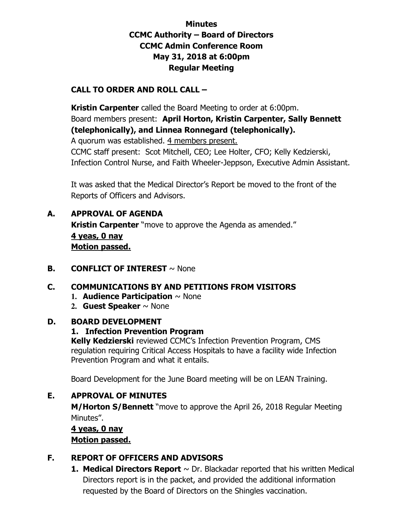# **Minutes CCMC Authority – Board of Directors CCMC Admin Conference Room May 31, 2018 at 6:00pm Regular Meeting**

# **CALL TO ORDER AND ROLL CALL –**

 **Kristin Carpenter** called the Board Meeting to order at 6:00pm. Board members present: **April Horton, Kristin Carpenter, Sally Bennett (telephonically), and Linnea Ronnegard (telephonically).**  A quorum was established. 4 members present. CCMC staff present: Scot Mitchell, CEO; Lee Holter, CFO; Kelly Kedzierski, Infection Control Nurse, and Faith Wheeler-Jeppson, Executive Admin Assistant.

It was asked that the Medical Director's Report be moved to the front of the Reports of Officers and Advisors.

- **A. APPROVAL OF AGENDA Kristin Carpenter** "move to approve the Agenda as amended." **4 yeas, 0 nay Motion passed.**
- **B. CONFLICT OF INTEREST**  $\sim$  None

#### **C. COMMUNICATIONS BY AND PETITIONS FROM VISITORS**

- **1. Audience Participation** ~ None
- **2. Guest Speaker** ~ None

#### **D. BOARD DEVELOPMENT**

#### **1. Infection Prevention Program**

**Kelly Kedzierski** reviewed CCMC's Infection Prevention Program, CMS regulation requiring Critical Access Hospitals to have a facility wide Infection Prevention Program and what it entails.

Board Development for the June Board meeting will be on LEAN Training.

#### **E. APPROVAL OF MINUTES**

**M/Horton S/Bennett** "move to approve the April 26, 2018 Regular Meeting Minutes".

**4 yeas, 0 nay Motion passed.** 

#### **F. REPORT OF OFFICERS AND ADVISORS**

**1. Medical Directors Report**  $\sim$  Dr. Blackadar reported that his written Medical Directors report is in the packet, and provided the additional information requested by the Board of Directors on the Shingles vaccination.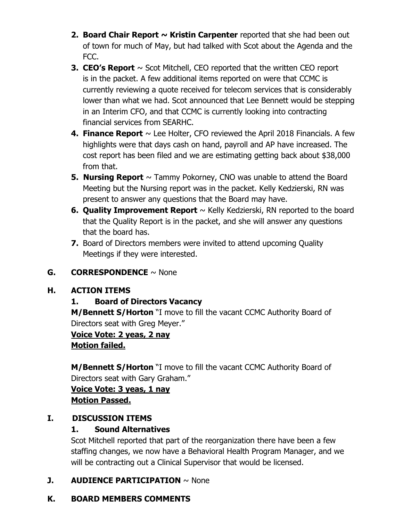- **2. Board Chair Report ~ Kristin Carpenter** reported that she had been out of town for much of May, but had talked with Scot about the Agenda and the FCC.
- **3. CEO's Report**  $\sim$  Scot Mitchell, CEO reported that the written CEO report is in the packet. A few additional items reported on were that CCMC is currently reviewing a quote received for telecom services that is considerably lower than what we had. Scot announced that Lee Bennett would be stepping in an Interim CFO, and that CCMC is currently looking into contracting financial services from SEARHC.
- **4. Finance Report**  $\sim$  Lee Holter, CFO reviewed the April 2018 Financials. A few highlights were that days cash on hand, payroll and AP have increased. The cost report has been filed and we are estimating getting back about \$38,000 from that.
- **5. Nursing Report**  $\sim$  Tammy Pokorney, CNO was unable to attend the Board Meeting but the Nursing report was in the packet. Kelly Kedzierski, RN was present to answer any questions that the Board may have.
- **6. Quality Improvement Report** ~ Kelly Kedzierski, RN reported to the board that the Quality Report is in the packet, and she will answer any questions that the board has.
- **7.** Board of Directors members were invited to attend upcoming Quality Meetings if they were interested.

# **G. CORRESPONDENCE** ~ None

# **H. ACTION ITEMS**

# **1. Board of Directors Vacancy**

**M/Bennett S/Horton** "I move to fill the vacant CCMC Authority Board of Directors seat with Greg Meyer."

# **Voice Vote: 2 yeas, 2 nay**

**Motion failed.** 

**M/Bennett S/Horton** "I move to fill the vacant CCMC Authority Board of Directors seat with Gary Graham."

**Voice Vote: 3 yeas, 1 nay Motion Passed.** 

#### **I. DISCUSSION ITEMS**

# **1. Sound Alternatives**

Scot Mitchell reported that part of the reorganization there have been a few staffing changes, we now have a Behavioral Health Program Manager, and we will be contracting out a Clinical Supervisor that would be licensed.

# **J. AUDIENCE PARTICIPATION** ~ None

#### **K. BOARD MEMBERS COMMENTS**